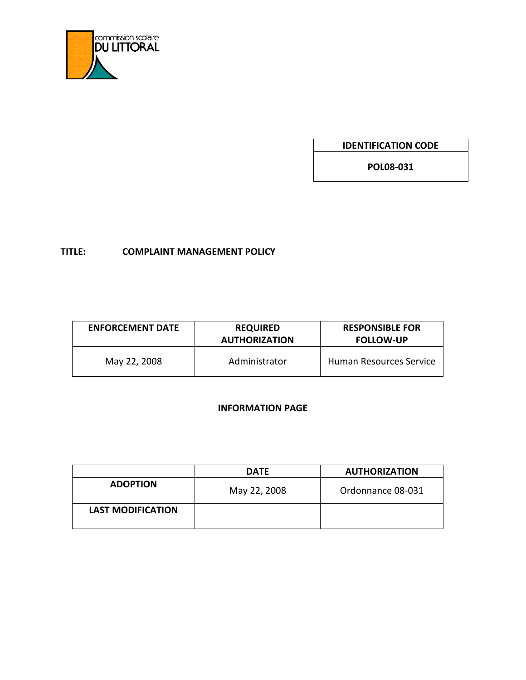

**IDENTIFICATION CODE**

**POL08-031**

# **TITLE: COMPLAINT MANAGEMENT POLICY**

| <b>ENFORCEMENT DATE</b> | <b>REQUIRED</b><br><b>AUTHORIZATION</b> | <b>RESPONSIBLE FOR</b><br><b>FOLLOW-UP</b> |
|-------------------------|-----------------------------------------|--------------------------------------------|
| May 22, 2008            | Administrator                           | Human Resources Service                    |

# **INFORMATION PAGE**

|                          | <b>DATE</b>  | <b>AUTHORIZATION</b> |
|--------------------------|--------------|----------------------|
| <b>ADOPTION</b>          | May 22, 2008 | Ordonnance 08-031    |
| <b>LAST MODIFICATION</b> |              |                      |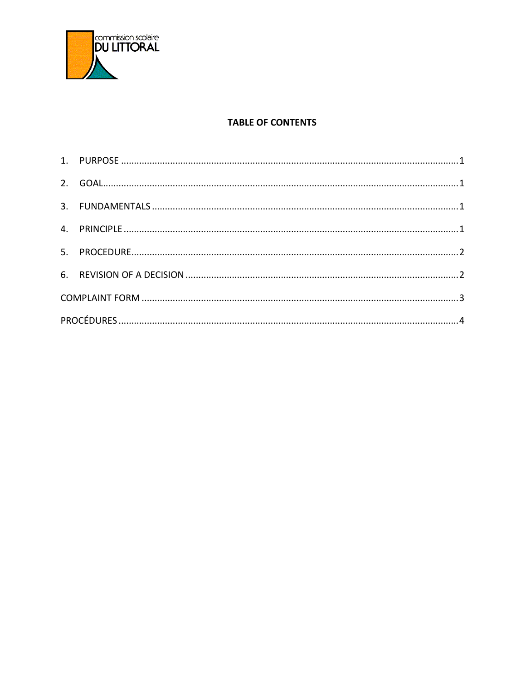

## **TABLE OF CONTENTS**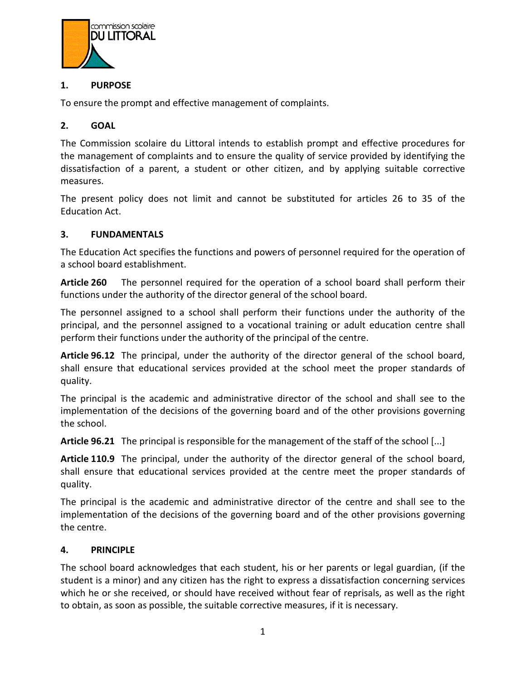

### <span id="page-2-0"></span>**1. PURPOSE**

To ensure the prompt and effective management of complaints.

### <span id="page-2-1"></span>**2. GOAL**

The Commission scolaire du Littoral intends to establish prompt and effective procedures for the management of complaints and to ensure the quality of service provided by identifying the dissatisfaction of a parent, a student or other citizen, and by applying suitable corrective measures.

The present policy does not limit and cannot be substituted for articles 26 to 35 of the Education Act.

#### <span id="page-2-2"></span>**3. FUNDAMENTALS**

The Education Act specifies the functions and powers of personnel required for the operation of a school board establishment.

**Article 260** The personnel required for the operation of a school board shall perform their functions under the authority of the director general of the school board.

The personnel assigned to a school shall perform their functions under the authority of the principal, and the personnel assigned to a vocational training or adult education centre shall perform their functions under the authority of the principal of the centre.

**Article 96.12** The principal, under the authority of the director general of the school board, shall ensure that educational services provided at the school meet the proper standards of quality.

The principal is the academic and administrative director of the school and shall see to the implementation of the decisions of the governing board and of the other provisions governing the school.

**Article 96.21** The principal is responsible for the management of the staff of the school [...]

**Article 110.9** The principal, under the authority of the director general of the school board, shall ensure that educational services provided at the centre meet the proper standards of quality.

The principal is the academic and administrative director of the centre and shall see to the implementation of the decisions of the governing board and of the other provisions governing the centre.

#### <span id="page-2-3"></span>**4. PRINCIPLE**

The school board acknowledges that each student, his or her parents or legal guardian, (if the student is a minor) and any citizen has the right to express a dissatisfaction concerning services which he or she received, or should have received without fear of reprisals, as well as the right to obtain, as soon as possible, the suitable corrective measures, if it is necessary.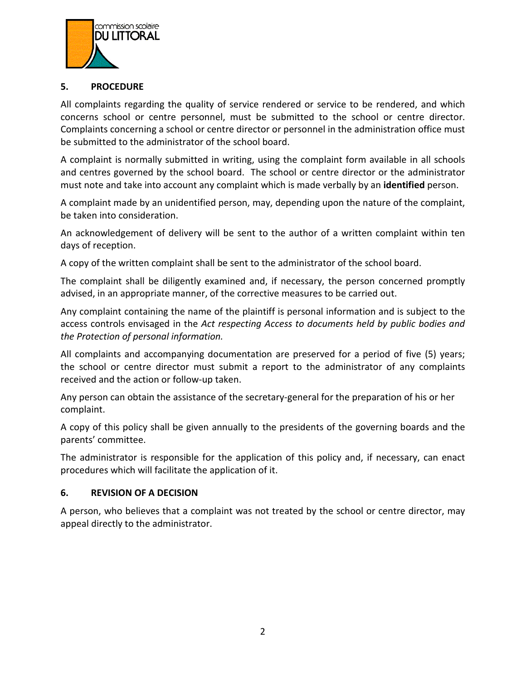

### <span id="page-3-0"></span>**5. PROCEDURE**

All complaints regarding the quality of service rendered or service to be rendered, and which concerns school or centre personnel, must be submitted to the school or centre director. Complaints concerning a school or centre director or personnel in the administration office must be submitted to the administrator of the school board.

A complaint is normally submitted in writing, using the complaint form available in all schools and centres governed by the school board. The school or centre director or the administrator must note and take into account any complaint which is made verbally by an **identified** person.

A complaint made by an unidentified person, may, depending upon the nature of the complaint, be taken into consideration.

An acknowledgement of delivery will be sent to the author of a written complaint within ten days of reception.

A copy of the written complaint shall be sent to the administrator of the school board.

The complaint shall be diligently examined and, if necessary, the person concerned promptly advised, in an appropriate manner, of the corrective measures to be carried out.

Any complaint containing the name of the plaintiff is personal information and is subject to the access controls envisaged in the *Act respecting Access to documents held by public bodies and the Protection of personal information.*

All complaints and accompanying documentation are preserved for a period of five (5) years; the school or centre director must submit a report to the administrator of any complaints received and the action or follow-up taken.

Any person can obtain the assistance of the secretary-general for the preparation of his or her complaint.

A copy of this policy shall be given annually to the presidents of the governing boards and the parents' committee.

The administrator is responsible for the application of this policy and, if necessary, can enact procedures which will facilitate the application of it.

### <span id="page-3-1"></span>**6. REVISION OF A DECISION**

A person, who believes that a complaint was not treated by the school or centre director, may appeal directly to the administrator.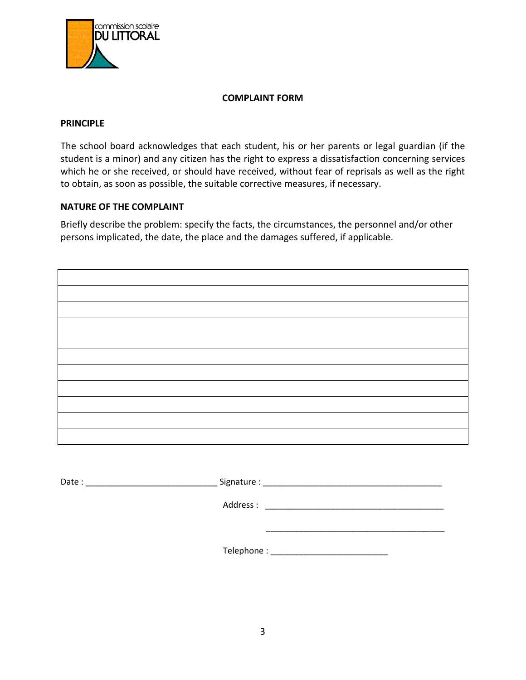

#### **COMPLAINT FORM**

#### <span id="page-4-0"></span>**PRINCIPLE**

The school board acknowledges that each student, his or her parents or legal guardian (if the student is a minor) and any citizen has the right to express a dissatisfaction concerning services which he or she received, or should have received, without fear of reprisals as well as the right to obtain, as soon as possible, the suitable corrective measures, if necessary.

#### **NATURE OF THE COMPLAINT**

Briefly describe the problem: specify the facts, the circumstances, the personnel and/or other persons implicated, the date, the place and the damages suffered, if applicable.

Date : \_\_\_\_\_\_\_\_\_\_\_\_\_\_\_\_\_\_\_\_\_\_\_\_\_\_\_\_ Signature : \_\_\_\_\_\_\_\_\_\_\_\_\_\_\_\_\_\_\_\_\_\_\_\_\_\_\_\_\_\_\_\_\_\_\_\_\_\_ Address : \_\_\_\_\_\_\_\_\_\_\_\_\_\_\_\_\_\_\_\_\_\_\_\_\_\_\_\_\_\_\_\_\_\_\_\_\_\_  $\mathcal{L}_\text{max}$  , and the set of the set of the set of the set of the set of the set of the set of the set of the set of the set of the set of the set of the set of the set of the set of the set of the set of the set of the Telephone : \_\_\_\_\_\_\_\_\_\_\_\_\_\_\_\_\_\_\_\_\_\_\_\_\_